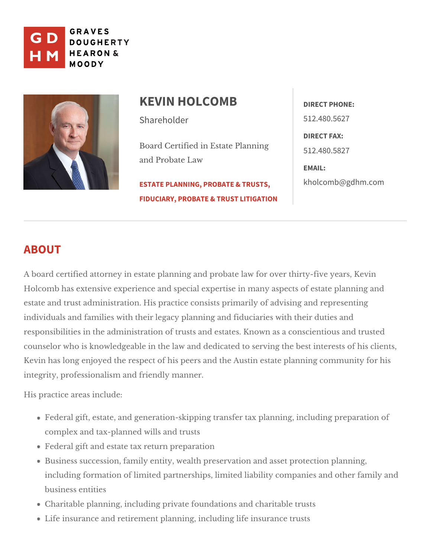

| KEVIN HOLCOMB DIRECT PHONE:                                                |              |
|----------------------------------------------------------------------------|--------------|
| Shareholder                                                                | 512.480.5627 |
| Board Certified in Estate Plann 5192.480.5827<br>and Probate Law<br>EMAIL: | DIRECT FAX:  |
| ESTATE PLANNING, PROBATE & TRUST TSO @ gdhm.com                            |              |
| FIDUCIARY, PROBATE & TRUST LITIGATION                                      |              |

# ABOUT

A board certified attorney in estate planning and probate law for over thirty-Holcomb has extensive experience and special expertise in many aspects of  $\epsilon$ estate and trust administration. His practice consists primarily of advising a individuals and families with their legacy planning and fiduciaries with their responsibilities in the administration of trusts and estates. Known as a conse counselor who is knowledgeable in the law and dedicated to serving the best Kevin has long enjoyed the respect of his peers and the Austin estate planni integrity, professionalfirsimenadhyd manner.

His practaceas include:

Federal gift, estate, and generation-skipping transfer tax planning, inclu complex and tax-planned dwills ats Federal gift and estaturn happreparation Business succession, family entity, wealth preservation and asset protec including formation of limited partnerships, limited liability companies an business entities Charitable planning, including private focuntractions tarroundsts Life insurance and retirement planning, insuradioneg thiuf sts